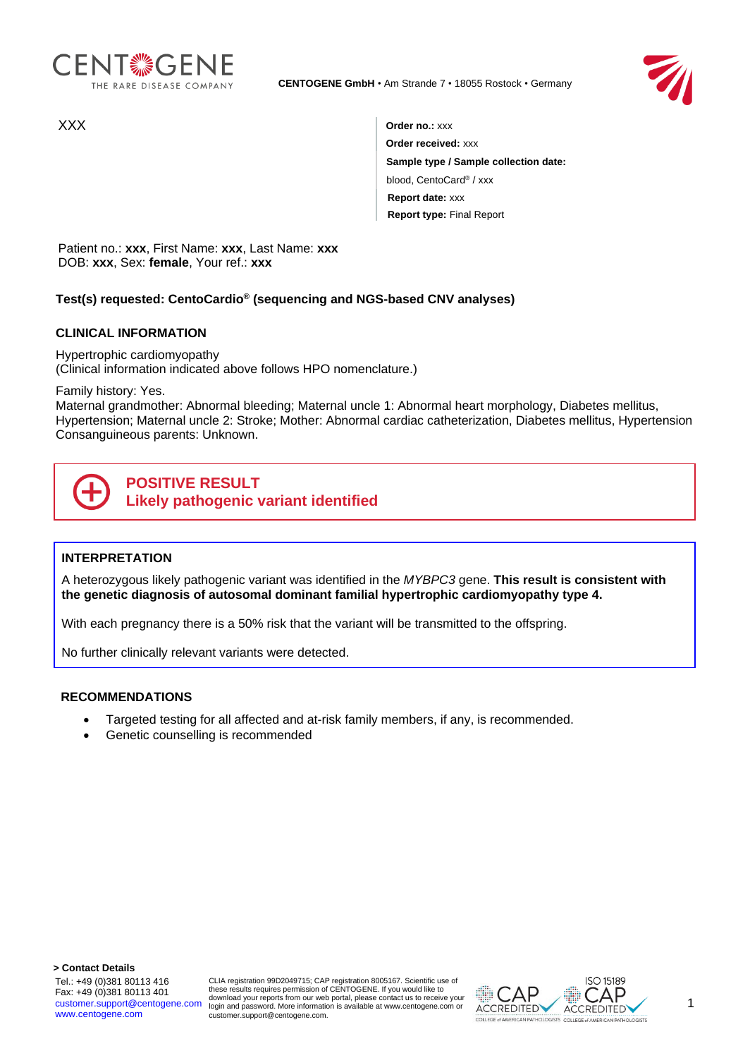



XXX **Order no.:** xxx **Order received:** xxx **Sample type / Sample collection date:** blood, CentoCard® / xxx **Report date:** xxx **Report type:** Final Report

Patient no.: **xxx**, First Name: **xxx**, Last Name: **xxx** DOB: **xxx**, Sex: **female**, Your ref.: **xxx**

# **Test(s) requested: CentoCardio® (sequencing and NGS-based CNV analyses)**

### **CLINICAL INFORMATION**

Hypertrophic cardiomyopathy (Clinical information indicated above follows HPO nomenclature.)

Family history: Yes.

Maternal grandmother: Abnormal bleeding; Maternal uncle 1: Abnormal heart morphology, Diabetes mellitus, Hypertension; Maternal uncle 2: Stroke; Mother: Abnormal cardiac catheterization, Diabetes mellitus, Hypertension Consanguineous parents: Unknown.



## **INTERPRETATION**

A heterozygous likely pathogenic variant was identified in the *MYBPC3* gene. **This result is consistent with the genetic diagnosis of autosomal dominant familial hypertrophic cardiomyopathy type 4.**

With each pregnancy there is a 50% risk that the variant will be transmitted to the offspring.

No further clinically relevant variants were detected.

#### **RECOMMENDATIONS**

- Targeted testing for all affected and at-risk family members, if any, is recommended.
- Genetic counselling is recommended

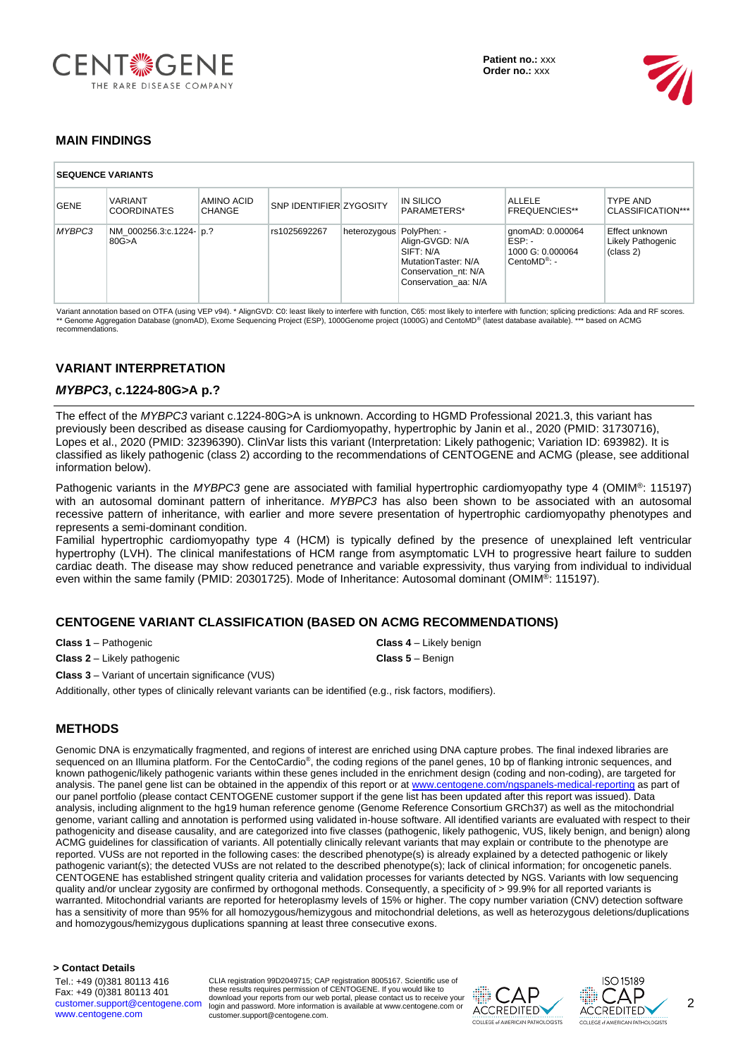



# **MAIN FINDINGS**

| <b>SEQUENCE VARIANTS</b> |                                      |                      |                                |                          |                                                                                                     |                                                                              |                                                  |  |  |
|--------------------------|--------------------------------------|----------------------|--------------------------------|--------------------------|-----------------------------------------------------------------------------------------------------|------------------------------------------------------------------------------|--------------------------------------------------|--|--|
| <b>GENE</b>              | <b>VARIANT</b><br><b>COORDINATES</b> | AMINO ACID<br>CHANGE | <b>SNP IDENTIFIER ZYGOSITY</b> |                          | IN SILICO<br>PARAMETERS*                                                                            | <b>ALLELE</b><br><b>FREQUENCIES**</b>                                        | <b>TYPE AND</b><br>CLASSIFICATION***             |  |  |
| MYBPC3                   | NM 000256.3:c.1224- p.?<br>80G > A   |                      | rs1025692267                   | heterozygous PolyPhen: - | Align-GVGD: N/A<br>SIFT: N/A<br>MutationTaster: N/A<br>Conservation nt: N/A<br>Conservation aa: N/A | qnomAD: 0.000064<br>$ESP: -$<br>1000 G: 0.000064<br>CentoMD <sup>®</sup> : - | Effect unknown<br>Likely Pathogenic<br>(class 2) |  |  |

Variant annotation based on OTFA (using VEP v94). \* AlignGVD: C0: least likely to interfere with function, solicing predictions: Ada and RF scores.<br>\*\* Genome Aggregation Database (gnomAD), Exome Sequencing Project (ESP), 1 recommendations.

# **VARIANT INTERPRETATION**

#### *MYBPC3***, c.1224-80G>A p.?**

The effect of the *MYBPC3* variant c.1224-80G>A is unknown. According to HGMD Professional 2021.3, this variant has previously been described as disease causing for Cardiomyopathy, hypertrophic by Janin et al., 2020 (PMID: 31730716), Lopes et al., 2020 (PMID: 32396390). ClinVar lists this variant (Interpretation: Likely pathogenic; Variation ID: 693982). It is classified as likely pathogenic (class 2) according to the recommendations of CENTOGENE and ACMG (please, see additional information below).

Pathogenic variants in the *MYBPC3* gene are associated with familial hypertrophic cardiomyopathy type 4 (OMIM®: 115197) with an autosomal dominant pattern of inheritance. *MYBPC3* has also been shown to be associated with an autosomal recessive pattern of inheritance, with earlier and more severe presentation of hypertrophic cardiomyopathy phenotypes and represents a semi-dominant condition.

Familial hypertrophic cardiomyopathy type 4 (HCM) is typically defined by the presence of unexplained left ventricular hypertrophy (LVH). The clinical manifestations of HCM range from asymptomatic LVH to progressive heart failure to sudden cardiac death. The disease may show reduced penetrance and variable expressivity, thus varying from individual to individual even within the same family (PMID: 20301725). Mode of Inheritance: Autosomal dominant (OMIM®: 115197).

## **CENTOGENE VARIANT CLASSIFICATION (BASED ON ACMG RECOMMENDATIONS)**

**Class 1** – Pathogenic **Class 4** – Likely benign

**Class 2** – Likely pathogenic **Class 5** – Benign

**Class 3** – Variant of uncertain significance (VUS)

Additionally, other types of clinically relevant variants can be identified (e.g., risk factors, modifiers).

## **METHODS**

Genomic DNA is enzymatically fragmented, and regions of interest are enriched using DNA capture probes. The final indexed libraries are sequenced on an Illumina platform. For the CentoCardio®, the coding regions of the panel genes, 10 bp of flanking intronic sequences, and known pathogenic/likely pathogenic variants within these genes included in the enrichment design (coding and non-coding), are targeted for analysis. The panel gene list can be obtained in the appendix of this report or at [www.centogene.com/ngspanels-medical-reporting](https://www.centogene.com/ngspanels-medical-reporting) as part of our panel portfolio (please contact CENTOGENE customer support if the gene list has been updated after this report was issued). Data analysis, including alignment to the hg19 human reference genome (Genome Reference Consortium GRCh37) as well as the mitochondrial genome, variant calling and annotation is performed using validated in-house software. All identified variants are evaluated with respect to their pathogenicity and disease causality, and are categorized into five classes (pathogenic, likely pathogenic, VUS, likely benign, and benign) along ACMG guidelines for classification of variants. All potentially clinically relevant variants that may explain or contribute to the phenotype are reported. VUSs are not reported in the following cases: the described phenotype(s) is already explained by a detected pathogenic or likely pathogenic variant(s); the detected VUSs are not related to the described phenotype(s); lack of clinical information; for oncogenetic panels. CENTOGENE has established stringent quality criteria and validation processes for variants detected by NGS. Variants with low sequencing quality and/or unclear zygosity are confirmed by orthogonal methods. Consequently, a specificity of > 99.9% for all reported variants is warranted. Mitochondrial variants are reported for heteroplasmy levels of 15% or higher. The copy number variation (CNV) detection software has a sensitivity of more than 95% for all homozygous/hemizygous and mitochondrial deletions, as well as heterozygous deletions/duplications and homozygous/hemizygous duplications spanning at least three consecutive exons.

**> Contact Details**

Tel.: +49 (0)381 80113 416 Fax: +49 (0)381 80113 401 customer.support@centogene.com www.centogene.com

CLIA registration 99D2049715; CAP registration 8005167. Scientific use of<br>these results requires permission of CENTOGENE. If you would like to<br>download your reports from our web portal, please contact us to receive your login and password. More information is available at www.centogene.com or customer.support@centogene.com.



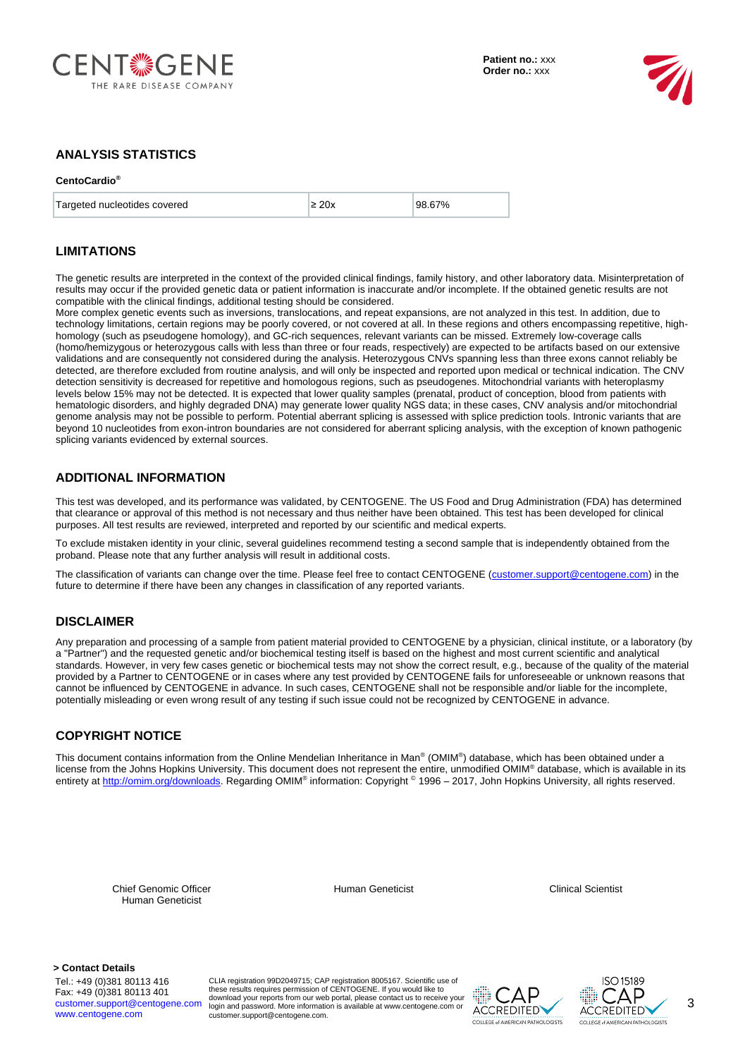



## **ANALYSIS STATISTICS**

#### **CentoCardio®**

| Targeted nucleotides covered | $\geq$ 20x | 98.67% |
|------------------------------|------------|--------|
|                              |            |        |

#### **LIMITATIONS**

The genetic results are interpreted in the context of the provided clinical findings, family history, and other laboratory data. Misinterpretation of results may occur if the provided genetic data or patient information is inaccurate and/or incomplete. If the obtained genetic results are not compatible with the clinical findings, additional testing should be considered.

More complex genetic events such as inversions, translocations, and repeat expansions, are not analyzed in this test. In addition, due to technology limitations, certain regions may be poorly covered, or not covered at all. In these regions and others encompassing repetitive, highhomology (such as pseudogene homology), and GC-rich sequences, relevant variants can be missed. Extremely low-coverage calls (homo/hemizygous or heterozygous calls with less than three or four reads, respectively) are expected to be artifacts based on our extensive validations and are consequently not considered during the analysis. Heterozygous CNVs spanning less than three exons cannot reliably be detected, are therefore excluded from routine analysis, and will only be inspected and reported upon medical or technical indication. The CNV detection sensitivity is decreased for repetitive and homologous regions, such as pseudogenes. Mitochondrial variants with heteroplasmy levels below 15% may not be detected. It is expected that lower quality samples (prenatal, product of conception, blood from patients with hematologic disorders, and highly degraded DNA) may generate lower quality NGS data; in these cases, CNV analysis and/or mitochondrial genome analysis may not be possible to perform. Potential aberrant splicing is assessed with splice prediction tools. Intronic variants that are beyond 10 nucleotides from exon-intron boundaries are not considered for aberrant splicing analysis, with the exception of known pathogenic splicing variants evidenced by external sources.

### **ADDITIONAL INFORMATION**

This test was developed, and its performance was validated, by CENTOGENE. The US Food and Drug Administration (FDA) has determined that clearance or approval of this method is not necessary and thus neither have been obtained. This test has been developed for clinical purposes. All test results are reviewed, interpreted and reported by our scientific and medical experts.

To exclude mistaken identity in your clinic, several guidelines recommend testing a second sample that is independently obtained from the proband. Please note that any further analysis will result in additional costs.

The classification of variants can change over the time. Please feel free to contact CENTOGENE (customer.support@centogene.com) in the future to determine if there have been any changes in classification of any reported variants.

#### **DISCLAIMER**

Any preparation and processing of a sample from patient material provided to CENTOGENE by a physician, clinical institute, or a laboratory (by a "Partner") and the requested genetic and/or biochemical testing itself is based on the highest and most current scientific and analytical standards. However, in very few cases genetic or biochemical tests may not show the correct result, e.g., because of the quality of the material provided by a Partner to CENTOGENE or in cases where any test provided by CENTOGENE fails for unforeseeable or unknown reasons that cannot be influenced by CENTOGENE in advance. In such cases, CENTOGENE shall not be responsible and/or liable for the incomplete, potentially misleading or even wrong result of any testing if such issue could not be recognized by CENTOGENE in advance.

## **COPYRIGHT NOTICE**

This document contains information from the Online Mendelian Inheritance in Man® (OMIM® ) database, which has been obtained under a license from the Johns Hopkins University. This document does not represent the entire, unmodified OMIM® database, which is available in its entirety at <u>http://omim.org/downloads</u>. Regarding OMIM® information: Copyright ® 1996 – 2017, John Hopkins University, all rights reserved.

Chief Genomic Officer Human Geneticist

Human Geneticist Clinical Scientist

**> Contact Details**

Tel.: +49 (0)381 80113 416 Fax: +49 (0)381 80113 401 customer.support@centogene.com www.centogene.com

CLIA registration 99D2049715; CAP registration 8005167. Scientific use of<br>these results requires permission of CENTOGENE. If you would like to<br>download your reports from our web portal, please contact us to receive your login and password. More information is available at www.centogene.com or customer.support@centogene.com.





3